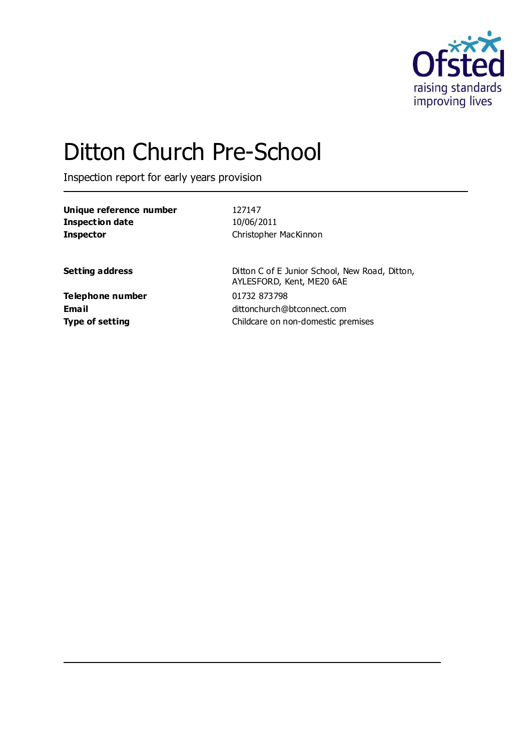

# Ditton Church Pre-School

Inspection report for early years provision

| Unique reference number | 127147                                         |  |
|-------------------------|------------------------------------------------|--|
| <b>Inspection date</b>  | 10/06/2011                                     |  |
| <b>Inspector</b>        | Christopher MacKinnon                          |  |
|                         |                                                |  |
| <b>Setting address</b>  | Ditton C of E Junior School, New Road, Ditton, |  |
|                         | AYLESFORD, Kent, ME20 6AE                      |  |
| <b>Telephone number</b> | 01732 873798                                   |  |
| <b>Email</b>            | dittonchurch@btconnect.com                     |  |

**Type of setting Type of setting Childcare on non-domestic premises**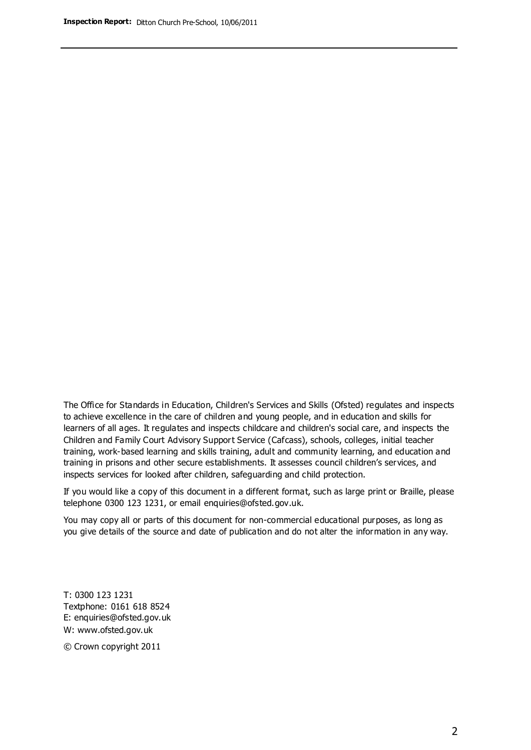The Office for Standards in Education, Children's Services and Skills (Ofsted) regulates and inspects to achieve excellence in the care of children and young people, and in education and skills for learners of all ages. It regulates and inspects childcare and children's social care, and inspects the Children and Family Court Advisory Support Service (Cafcass), schools, colleges, initial teacher training, work-based learning and skills training, adult and community learning, and education and training in prisons and other secure establishments. It assesses council children's services, and inspects services for looked after children, safeguarding and child protection.

If you would like a copy of this document in a different format, such as large print or Braille, please telephone 0300 123 1231, or email enquiries@ofsted.gov.uk.

You may copy all or parts of this document for non-commercial educational purposes, as long as you give details of the source and date of publication and do not alter the information in any way.

T: 0300 123 1231 Textphone: 0161 618 8524 E: enquiries@ofsted.gov.uk W: [www.ofsted.gov.uk](http://www.ofsted.gov.uk/)

© Crown copyright 2011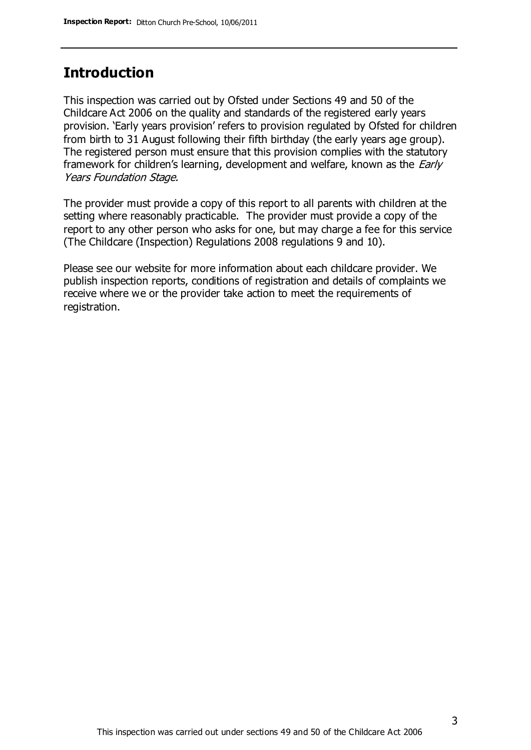## **Introduction**

This inspection was carried out by Ofsted under Sections 49 and 50 of the Childcare Act 2006 on the quality and standards of the registered early years provision. 'Early years provision' refers to provision regulated by Ofsted for children from birth to 31 August following their fifth birthday (the early years age group). The registered person must ensure that this provision complies with the statutory framework for children's learning, development and welfare, known as the *Early* Years Foundation Stage.

The provider must provide a copy of this report to all parents with children at the setting where reasonably practicable. The provider must provide a copy of the report to any other person who asks for one, but may charge a fee for this service (The Childcare (Inspection) Regulations 2008 regulations 9 and 10).

Please see our website for more information about each childcare provider. We publish inspection reports, conditions of registration and details of complaints we receive where we or the provider take action to meet the requirements of registration.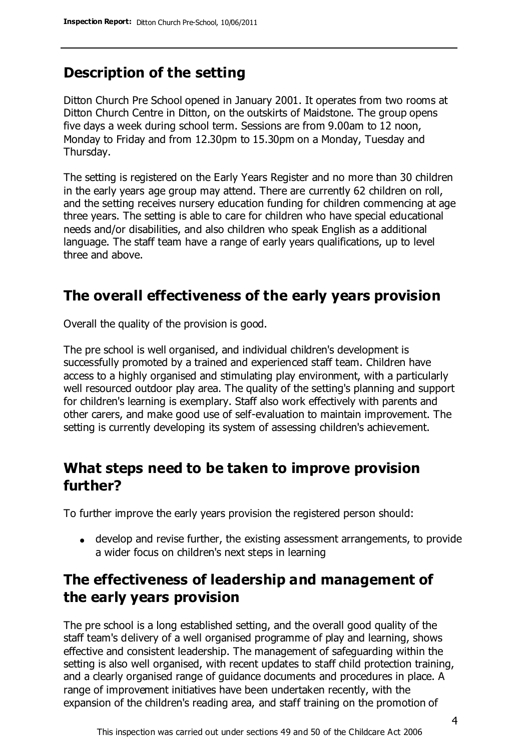# **Description of the setting**

Ditton Church Pre School opened in January 2001. It operates from two rooms at Ditton Church Centre in Ditton, on the outskirts of Maidstone. The group opens five days a week during school term. Sessions are from 9.00am to 12 noon, Monday to Friday and from 12.30pm to 15.30pm on a Monday, Tuesday and Thursday.

The setting is registered on the Early Years Register and no more than 30 children in the early years age group may attend. There are currently 62 children on roll, and the setting receives nursery education funding for children commencing at age three years. The setting is able to care for children who have special educational needs and/or disabilities, and also children who speak English as a additional language. The staff team have a range of early years qualifications, up to level three and above.

## **The overall effectiveness of the early years provision**

Overall the quality of the provision is good.

The pre school is well organised, and individual children's development is successfully promoted by a trained and experienced staff team. Children have access to a highly organised and stimulating play environment, with a particularly well resourced outdoor play area. The quality of the setting's planning and support for children's learning is exemplary. Staff also work effectively with parents and other carers, and make good use of self-evaluation to maintain improvement. The setting is currently developing its system of assessing children's achievement.

## **What steps need to be taken to improve provision further?**

To further improve the early years provision the registered person should:

develop and revise further, the existing assessment arrangements, to provide a wider focus on children's next steps in learning

# **The effectiveness of leadership and management of the early years provision**

The pre school is a long established setting, and the overall good quality of the staff team's delivery of a well organised programme of play and learning, shows effective and consistent leadership. The management of safeguarding within the setting is also well organised, with recent updates to staff child protection training, and a clearly organised range of guidance documents and procedures in place. A range of improvement initiatives have been undertaken recently, with the expansion of the children's reading area, and staff training on the promotion of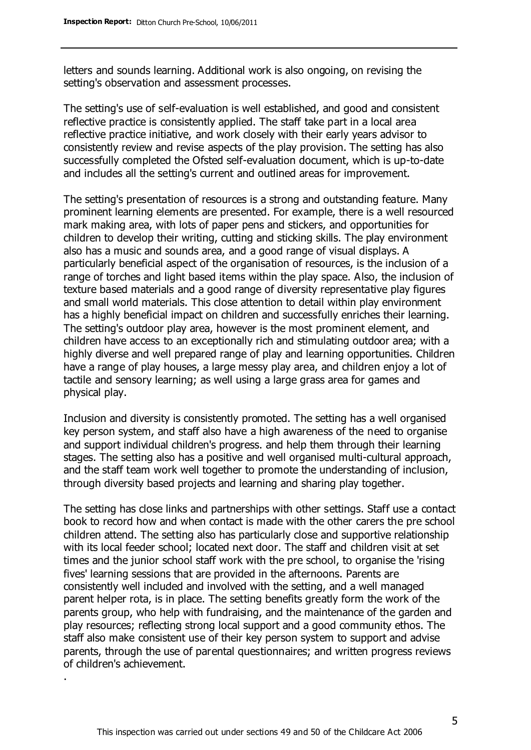letters and sounds learning. Additional work is also ongoing, on revising the setting's observation and assessment processes.

The setting's use of self-evaluation is well established, and good and consistent reflective practice is consistently applied. The staff take part in a local area reflective practice initiative, and work closely with their early years advisor to consistently review and revise aspects of the play provision. The setting has also successfully completed the Ofsted self-evaluation document, which is up-to-date and includes all the setting's current and outlined areas for improvement.

The setting's presentation of resources is a strong and outstanding feature. Many prominent learning elements are presented. For example, there is a well resourced mark making area, with lots of paper pens and stickers, and opportunities for children to develop their writing, cutting and sticking skills. The play environment also has a music and sounds area, and a good range of visual displays. A particularly beneficial aspect of the organisation of resources, is the inclusion of a range of torches and light based items within the play space. Also, the inclusion of texture based materials and a good range of diversity representative play figures and small world materials. This close attention to detail within play environment has a highly beneficial impact on children and successfully enriches their learning. The setting's outdoor play area, however is the most prominent element, and children have access to an exceptionally rich and stimulating outdoor area; with a highly diverse and well prepared range of play and learning opportunities. Children have a range of play houses, a large messy play area, and children enjoy a lot of tactile and sensory learning; as well using a large grass area for games and physical play.

Inclusion and diversity is consistently promoted. The setting has a well organised key person system, and staff also have a high awareness of the need to organise and support individual children's progress. and help them through their learning stages. The setting also has a positive and well organised multi-cultural approach, and the staff team work well together to promote the understanding of inclusion, through diversity based projects and learning and sharing play together.

The setting has close links and partnerships with other settings. Staff use a contact book to record how and when contact is made with the other carers the pre school children attend. The setting also has particularly close and supportive relationship with its local feeder school; located next door. The staff and children visit at set times and the junior school staff work with the pre school, to organise the 'rising fives' learning sessions that are provided in the afternoons. Parents are consistently well included and involved with the setting, and a well managed parent helper rota, is in place. The setting benefits greatly form the work of the parents group, who help with fundraising, and the maintenance of the garden and play resources; reflecting strong local support and a good community ethos. The staff also make consistent use of their key person system to support and advise parents, through the use of parental questionnaires; and written progress reviews of children's achievement.

.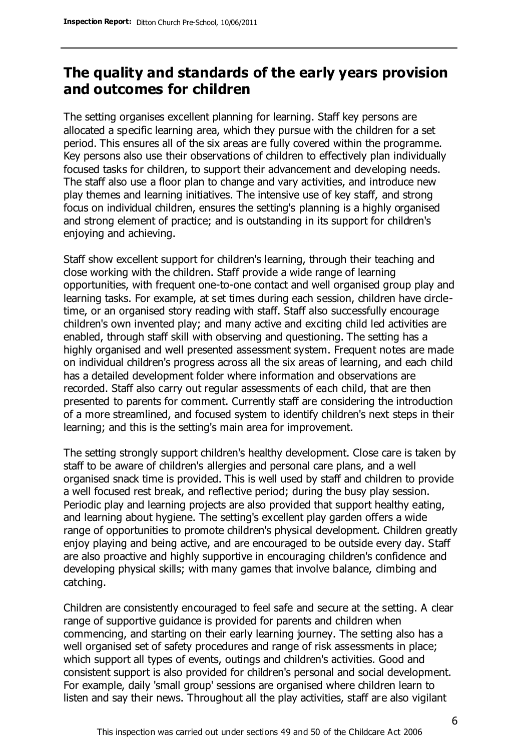## **The quality and standards of the early years provision and outcomes for children**

The setting organises excellent planning for learning. Staff key persons are allocated a specific learning area, which they pursue with the children for a set period. This ensures all of the six areas are fully covered within the programme. Key persons also use their observations of children to effectively plan individually focused tasks for children, to support their advancement and developing needs. The staff also use a floor plan to change and vary activities, and introduce new play themes and learning initiatives. The intensive use of key staff, and strong focus on individual children, ensures the setting's planning is a highly organised and strong element of practice; and is outstanding in its support for children's enjoying and achieving.

Staff show excellent support for children's learning, through their teaching and close working with the children. Staff provide a wide range of learning opportunities, with frequent one-to-one contact and well organised group play and learning tasks. For example, at set times during each session, children have circletime, or an organised story reading with staff. Staff also successfully encourage children's own invented play; and many active and exciting child led activities are enabled, through staff skill with observing and questioning. The setting has a highly organised and well presented assessment system. Frequent notes are made on individual children's progress across all the six areas of learning, and each child has a detailed development folder where information and observations are recorded. Staff also carry out regular assessments of each child, that are then presented to parents for comment. Currently staff are considering the introduction of a more streamlined, and focused system to identify children's next steps in their learning; and this is the setting's main area for improvement.

The setting strongly support children's healthy development. Close care is taken by staff to be aware of children's allergies and personal care plans, and a well organised snack time is provided. This is well used by staff and children to provide a well focused rest break, and reflective period; during the busy play session. Periodic play and learning projects are also provided that support healthy eating, and learning about hygiene. The setting's excellent play garden offers a wide range of opportunities to promote children's physical development. Children greatly enjoy playing and being active, and are encouraged to be outside every day. Staff are also proactive and highly supportive in encouraging children's confidence and developing physical skills; with many games that involve balance, climbing and catching.

Children are consistently encouraged to feel safe and secure at the setting. A clear range of supportive guidance is provided for parents and children when commencing, and starting on their early learning journey. The setting also has a well organised set of safety procedures and range of risk assessments in place; which support all types of events, outings and children's activities. Good and consistent support is also provided for children's personal and social development. For example, daily 'small group' sessions are organised where children learn to listen and say their news. Throughout all the play activities, staff are also vigilant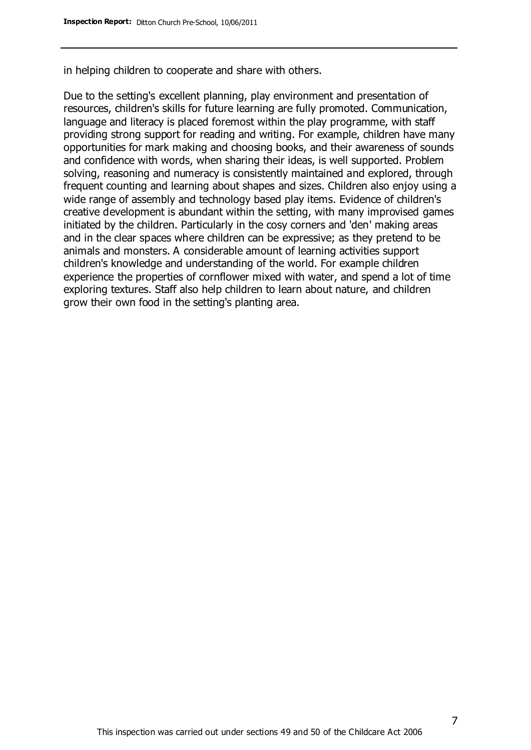in helping children to cooperate and share with others.

Due to the setting's excellent planning, play environment and presentation of resources, children's skills for future learning are fully promoted. Communication, language and literacy is placed foremost within the play programme, with staff providing strong support for reading and writing. For example, children have many opportunities for mark making and choosing books, and their awareness of sounds and confidence with words, when sharing their ideas, is well supported. Problem solving, reasoning and numeracy is consistently maintained and explored, through frequent counting and learning about shapes and sizes. Children also enjoy using a wide range of assembly and technology based play items. Evidence of children's creative development is abundant within the setting, with many improvised games initiated by the children. Particularly in the cosy corners and 'den' making areas and in the clear spaces where children can be expressive; as they pretend to be animals and monsters. A considerable amount of learning activities support children's knowledge and understanding of the world. For example children experience the properties of cornflower mixed with water, and spend a lot of time exploring textures. Staff also help children to learn about nature, and children grow their own food in the setting's planting area.